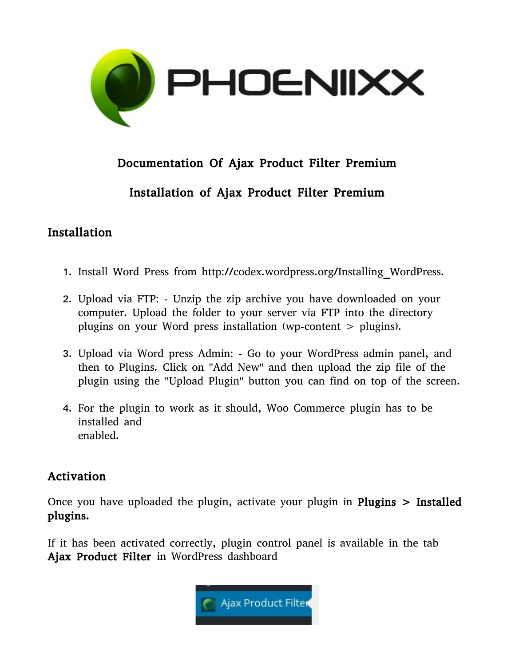

# Documentation Of Ajax Product Filter Premium

## Installation of Ajax Product Filter Premium

#### Installation

- 1. Install Word Press from http://codex.wordpress.org/Installing\_WordPress.
- 2. Upload via FTP: Unzip the zip archive you have downloaded on your computer. Upload the folder to your server via FTP into the directory plugins on your Word press installation (wp-content > plugins).
- 3. Upload via Word press Admin: Go to your WordPress admin panel, and then to Plugins. Click on ''Add New'' and then upload the zip file of the plugin using the ''Upload Plugin'' button you can find on top of the screen.
- 4. For the plugin to work as it should, Woo Commerce plugin has to be installed and enabled.

#### Activation

Once you have uploaded the plugin, activate your plugin in **Plugins**  $>$  **Installed** plugins.

If it has been activated correctly, plugin control panel is available in the tab Ajax Product Filter in WordPress dashboard

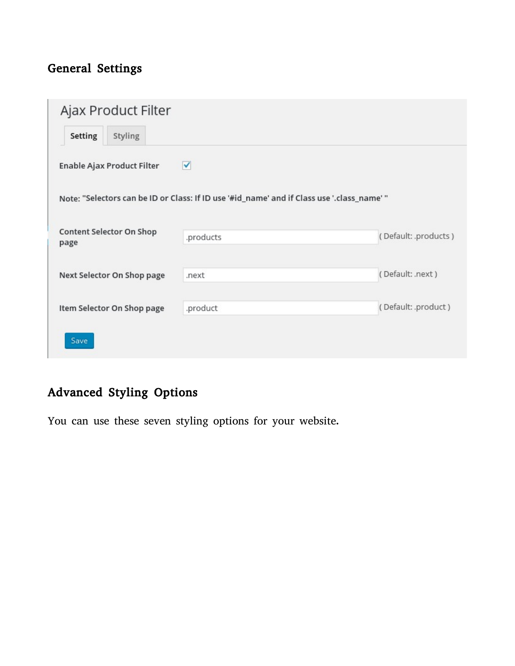# General Settings

| Ajax Product Filter              |                                                                                            |                      |
|----------------------------------|--------------------------------------------------------------------------------------------|----------------------|
| Setting<br>Styling               |                                                                                            |                      |
| Enable Ajax Product Filter       | ✔                                                                                          |                      |
|                                  | Note: "Selectors can be ID or Class: If ID use '#id_name' and if Class use '.class_name' " |                      |
|                                  |                                                                                            |                      |
| Content Selector On Shop<br>page | .products                                                                                  | (Default: .products) |
|                                  |                                                                                            |                      |
| Next Selector On Shop page       | .next                                                                                      | (Default: .next)     |
|                                  |                                                                                            |                      |
| Item Selector On Shop page       | .product                                                                                   | (Default: .product)  |
| Save                             |                                                                                            |                      |

# Advanced Styling Options

You can use these seven styling options for your website.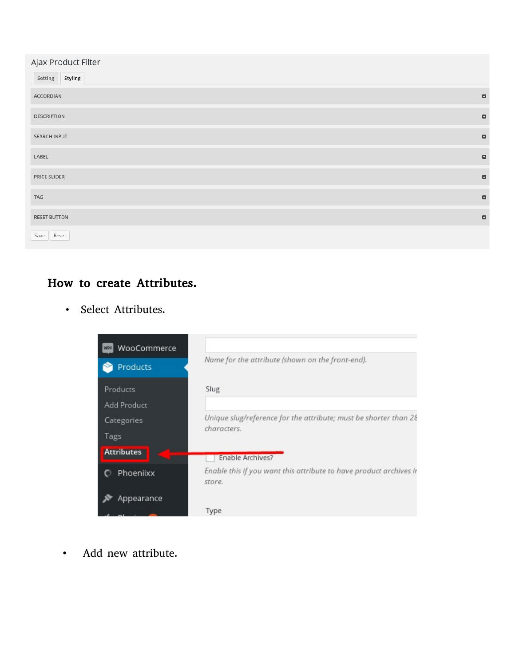| Ajax Product Filter |        |
|---------------------|--------|
| Setting Styling     |        |
| ACCORDIAN           | $\Box$ |
| <b>DESCRIPTION</b>  | $\Box$ |
| SEARCH INPUT        | $\Box$ |
| LABEL               | $\Box$ |
| PRICE SLIDER        | $\Box$ |
| TAG                 | $\Box$ |
| <b>RESET BUTTON</b> | $\Box$ |
| Save<br>Reset       |        |

# How to create Attributes.

• Select Attributes.



• Add new attribute.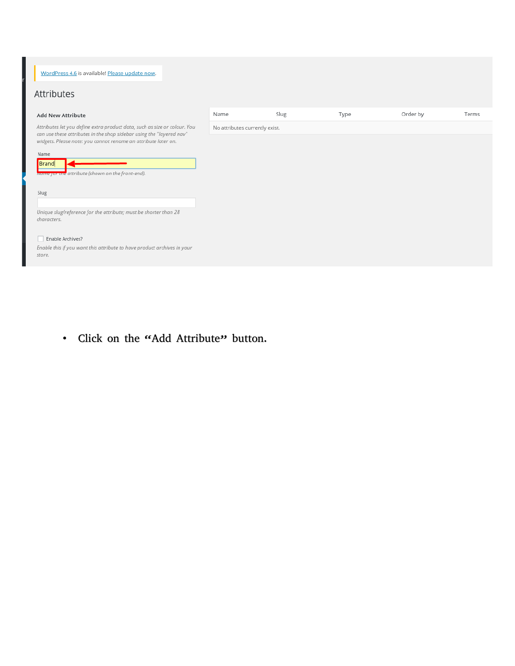WordPress 4.6 is available! Please update now.

#### Attributes

| <b>Add New Attribute</b>                                                                                                                                                                                            | Name                           | Slug | Type | Order by | Terms |
|---------------------------------------------------------------------------------------------------------------------------------------------------------------------------------------------------------------------|--------------------------------|------|------|----------|-------|
| Attributes let you define extra product data, such as size or colour. You<br>can use these attributes in the shop sidebar using the "layered nav"<br>widgets. Please note: you cannot rename an attribute later on. | No attributes currently exist. |      |      |          |       |
| Name<br>Brand<br>Ivanne for ane attribute (shown on the front-end).                                                                                                                                                 |                                |      |      |          |       |
| Slug                                                                                                                                                                                                                |                                |      |      |          |       |
| Unique slug/reference for the attribute; must be shorter than 28<br>characters.                                                                                                                                     |                                |      |      |          |       |
| Enable Archives?<br>Enable this if you want this attribute to have product archives in your<br>store                                                                                                                |                                |      |      |          |       |

• Click on the "Add Attribute" button.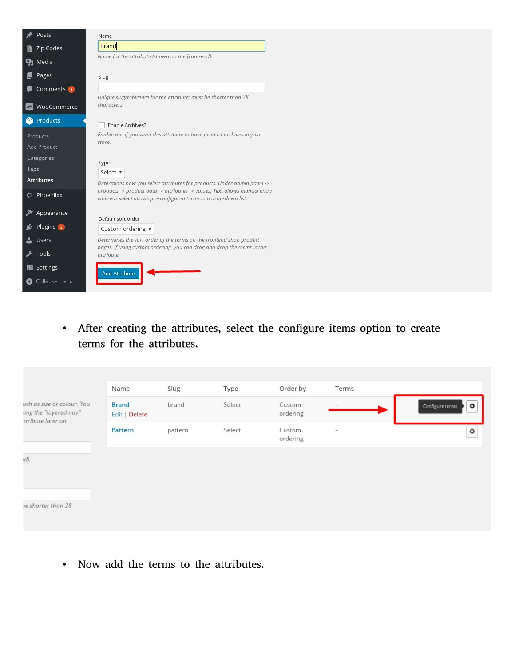| A Posts                      | Name                                                                                                                                          |
|------------------------------|-----------------------------------------------------------------------------------------------------------------------------------------------|
| <b>Example 2</b> Zip Codes   | Brand                                                                                                                                         |
| <b>9</b> 1 Media             | Name for the attribute (shown on the front-end).                                                                                              |
| <b>D</b> Pages               | Slug                                                                                                                                          |
| Comments (1)                 |                                                                                                                                               |
| <b>WOO Commerce</b>          | Unique slug/reference for the attribute; must be shorter than 28<br>characters.                                                               |
| Products                     | Enable Archives?                                                                                                                              |
| Products                     | Enable this if you want this attribute to have product archives in your                                                                       |
| Add Product                  | store.                                                                                                                                        |
| Categories                   | Type                                                                                                                                          |
| Tags                         | Select v                                                                                                                                      |
| Attributes                   | Determines how you select attributes for products. Under admin panel ->                                                                       |
| C Phoeniixx                  | products -> product data -> attributes -> values, Text allows manual entry<br>whereas select allows pre-configured terms in a drop-down list. |
| Appearance                   |                                                                                                                                               |
| $\leq$ Plugins $\frac{1}{3}$ | Default sort order                                                                                                                            |
| <b>SALL</b> Users            | Custom ordering v<br>Determines the sort order of the terms on the frontend shop product                                                      |
|                              | pages. If using custom ordering, you can drag and drop the terms in this                                                                      |
| $\sqrt{2}$ Tools             | attribute.                                                                                                                                    |
| <b>Settings</b>              | <b>Add Attribute</b>                                                                                                                          |
| Collapse menu                |                                                                                                                                               |

• After creating the attributes, select the configure items option to create terms for the attributes.

| $\ddot{\mathbf{Q}}$<br>Configure terms |
|----------------------------------------|
| ♦                                      |
|                                        |
|                                        |
|                                        |
|                                        |

• Now add the terms to the attributes.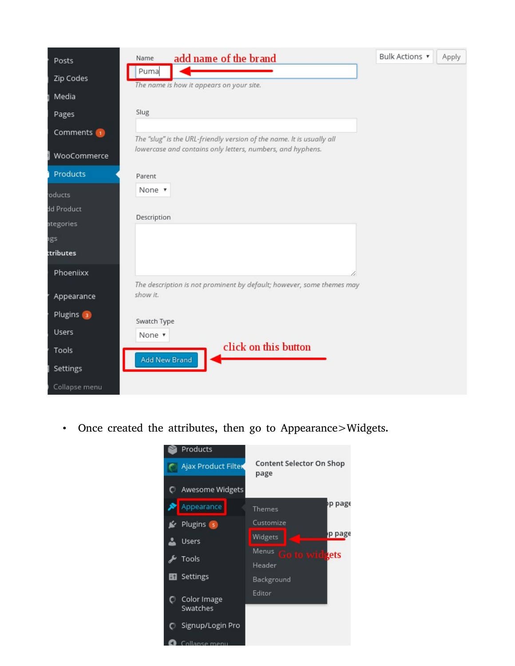| Posts<br>Zip Codes<br>Media   | add name of the brand<br>Name<br>Puma<br>The name is how it appears on your site.                                                   | Bulk Actions ▼ | Apply |
|-------------------------------|-------------------------------------------------------------------------------------------------------------------------------------|----------------|-------|
| Pages                         | Slug                                                                                                                                |                |       |
| Comments (1)                  | The "slug" is the URL-friendly version of the name. It is usually all<br>lowercase and contains only letters, numbers, and hyphens. |                |       |
| WooCommerce<br>Products       | Parent                                                                                                                              |                |       |
| oducts<br>dd Product          | None v<br>Description                                                                                                               |                |       |
| ategories<br>ags<br>ttributes |                                                                                                                                     |                |       |
| Phoeniixx                     | The description is not prominent by default; however, some themes may                                                               |                |       |
| Appearance                    | show it.                                                                                                                            |                |       |
| Plugins 3<br><b>Users</b>     | Swatch Type<br>None v                                                                                                               |                |       |
| Tools<br>Settings             | click on this button<br>Add New Brand                                                                                               |                |       |
| Collapse menu                 |                                                                                                                                     |                |       |

• Once created the attributes, then go to Appearance>Widgets.

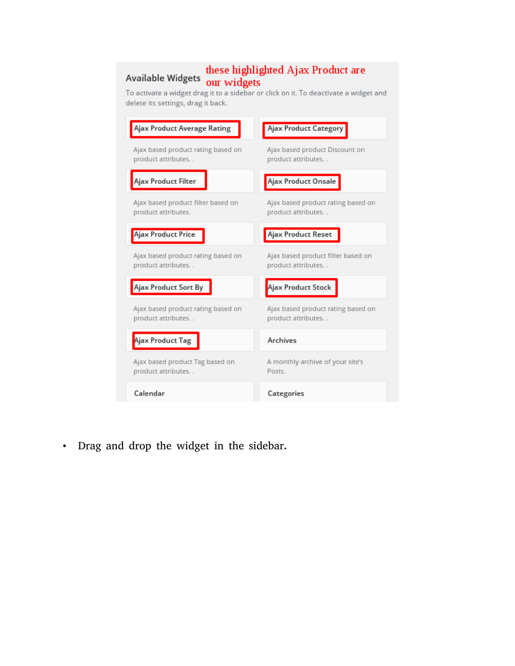# **these highlighted Ajax Product are**<br>Available Widgets our widgets<br>To activate a widget drag it to a sidebar or click on it. To deactivate a widget and

delete its settings, drag it back.

| Ajax Product Average Rating                               | Ajax Product Category                                    |
|-----------------------------------------------------------|----------------------------------------------------------|
| Ajax based product rating based on<br>product attributes  | Ajax based product Discount on<br>product attributes     |
| Ajax Product Filter                                       | Ajax Product Onsale                                      |
| Ajax based product filter based on<br>product attributes. | Ajax based product rating based on<br>product attributes |
| <b>Ajax Product Price</b>                                 | Ajax Product Reset                                       |
| Ajax based product rating based on<br>product attributes  | Ajax based product filter based on<br>product attributes |
| Ajax Product Sort By                                      | Ajax Product Stock                                       |
| Ajax based product rating based on<br>product attributes  | Ajax based product rating based on<br>product attributes |
| Ajax Product Tag                                          | Archives                                                 |
| Ajax based product Tag based on<br>product attributes     | A monthly archive of your site's<br>Posts.               |
| Calendar                                                  | Categories                                               |

• Drag and drop the widget in the sidebar.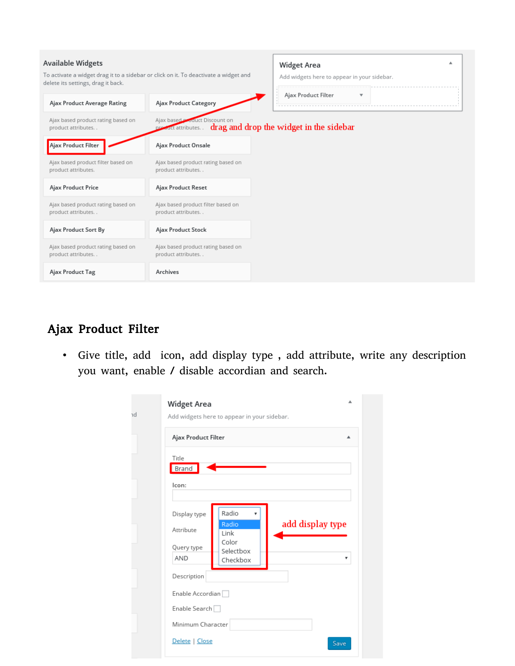| <b>Available Widgets</b><br>To activate a widget drag it to a sidebar or click on it. To deactivate a widget and<br>delete its settings, drag it back. |                                                          | ▲<br><b>Widget Area</b><br>Add widgets here to appear in your sidebar. |
|--------------------------------------------------------------------------------------------------------------------------------------------------------|----------------------------------------------------------|------------------------------------------------------------------------|
| Ajax Product Average Rating                                                                                                                            | <b>Ajax Product Category</b>                             | Ajax Product Filter<br>v                                               |
| Ajax based product rating based on<br>product attributes                                                                                               | Ajax based <b>Product Discount on</b>                    | present attributes. drag and drop the widget in the sidebar            |
| Ajax Product Filter                                                                                                                                    | Ajax Product Onsale                                      |                                                                        |
| Ajax based product filter based on<br>product attributes.                                                                                              | Ajax based product rating based on<br>product attributes |                                                                        |
| Ajax Product Price                                                                                                                                     | Ajax Product Reset                                       |                                                                        |
| Ajax based product rating based on<br>product attributes                                                                                               | Ajax based product filter based on<br>product attributes |                                                                        |
| Ajax Product Sort By                                                                                                                                   | <b>Ajax Product Stock</b>                                |                                                                        |
| Ajax based product rating based on<br>product attributes                                                                                               | Ajax based product rating based on<br>product attributes |                                                                        |
| Ajax Product Tag                                                                                                                                       | Archives                                                 |                                                                        |

# Ajax Product Filter

• Give title, add icon, add display type , add attribute, write any description you want, enable / disable accordian and search.

| ıd | ᇫ<br><b>Widget Area</b><br>Add widgets here to appear in your sidebar.                                                              |
|----|-------------------------------------------------------------------------------------------------------------------------------------|
|    | Ajax Product Filter<br>ᇫ                                                                                                            |
|    | Title<br>Brand                                                                                                                      |
|    | lcon:                                                                                                                               |
|    | Radio<br>Display type<br>add display type<br>Radio<br>Attribute<br>Link<br>Color<br>Query type<br>Selectbox<br>AND<br>۳<br>Checkbox |
|    | Description<br>Enable Accordian                                                                                                     |
|    | Enable Search                                                                                                                       |
|    | Minimum Character<br>Delete   Close                                                                                                 |
|    | Save                                                                                                                                |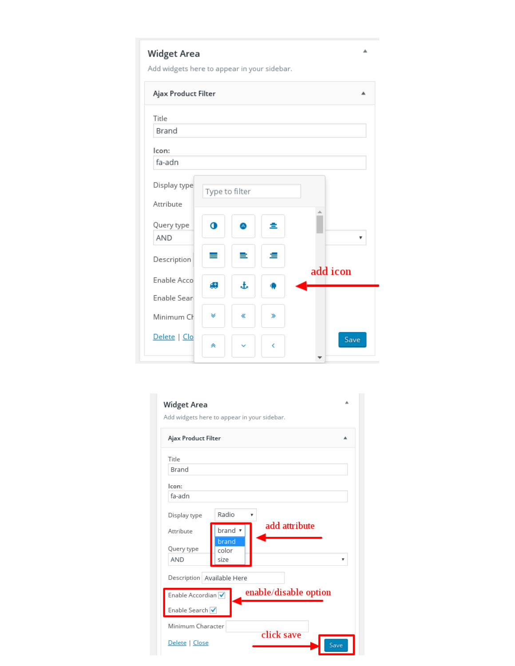Add widgets here to appear in your sidebar.

| Ajax Product Filter |                |   |   |          |
|---------------------|----------------|---|---|----------|
| Title               |                |   |   |          |
| Brand               |                |   |   |          |
| lcon:               |                |   |   |          |
| fa-adn              |                |   |   |          |
| Display type        | Type to filter |   |   |          |
| Attribute           |                |   |   |          |
| Query type<br>AND   | Ф              |   | ± | v        |
| Description         | =              | ≘ | ≘ |          |
| Enable Acco         |                |   |   | add icon |
| Enable Sear         | 45             | t |   |          |
| Minimum Ch          | ¥              | « | ≫ |          |
| Delete   Clo        | 夾              |   | k | Save     |

| <b>Widget Area</b>           | Add widgets here to appear in your sidebar. |  |
|------------------------------|---------------------------------------------|--|
| Ajax Product Filter          |                                             |  |
| Title                        |                                             |  |
| Brand                        |                                             |  |
| lcon:                        |                                             |  |
| fa-adn                       |                                             |  |
| Display type                 | Radio                                       |  |
| Attribute                    | add attribute<br>brand r                    |  |
| Query type                   | brand<br>color                              |  |
| <b>AND</b>                   | size                                        |  |
| Description   Available Here |                                             |  |
| Enable Accordian √           | enable/disable option                       |  |
| Enable Search √              |                                             |  |
| Minimum Character            |                                             |  |
| Delete   Close               | click save<br>Save                          |  |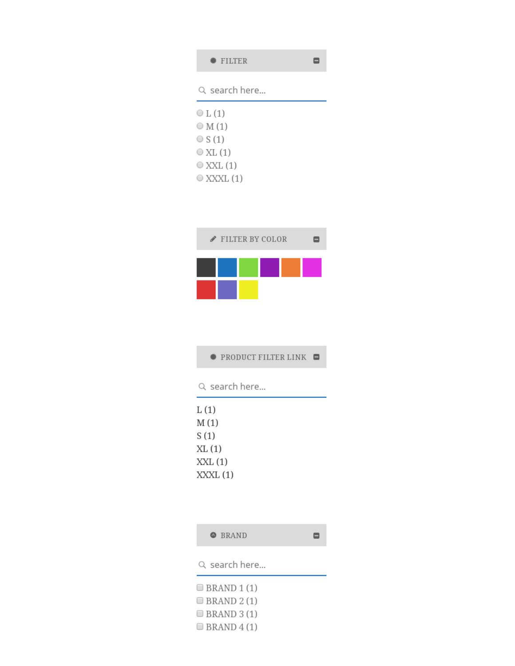# FILTER  $\blacksquare$ Q search here...  $\circ$  L(1)



#### **● PRODUCT FILTER LINK ■**

Q search here...

| L (1)    |  |
|----------|--|
| M (1)    |  |
| S (1)    |  |
| XL (1)   |  |
| XXL (1)  |  |
| XXXL (1) |  |
|          |  |

| ● BRAND |
|---------|
|         |

 $\blacksquare$ 

Q search here...

 $\Box$  BRAND 1(1)  $\Box$  BRAND 2(1)  $\Box$  BRAND 3 (1)  $\Box$  BRAND 4(1)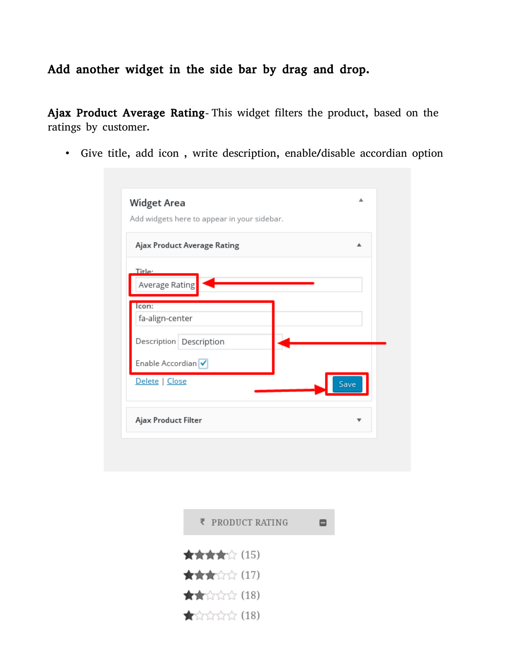# Add another widget in the side bar by drag and drop.

Ajax Product Average Rating- This widget filters the product, based on the ratings by customer.

• Give title, add icon , write description, enable/disable accordian option

|                          | Ajax Product Average Rating |      |
|--------------------------|-----------------------------|------|
| Title:                   |                             |      |
| Average Rating           |                             |      |
| Icon:<br>fa-align-center |                             |      |
|                          | Description Description     |      |
| Enable Accordian         |                             |      |
| Delete   Close           |                             | Save |

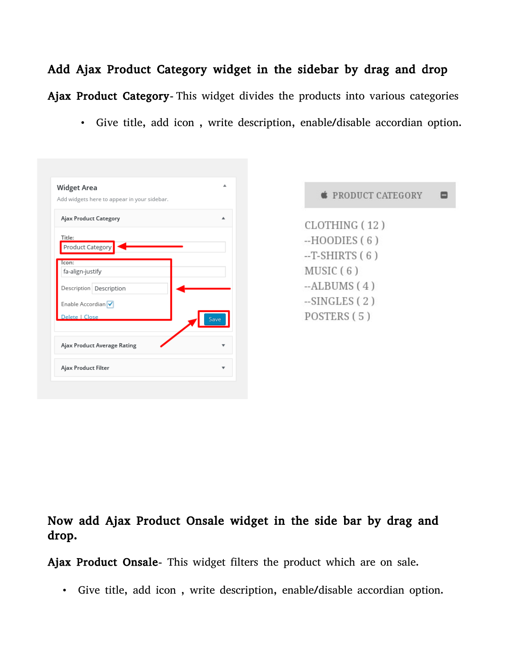# Add Ajax Product Category widget in the sidebar by drag and drop Ajax Product Category**-** This widget divides the products into various categories

• Give title, add icon , write description, enable/disable accordian option.

| <b>Widget Area</b><br>Add widgets here to appear in your sidebar. |      |
|-------------------------------------------------------------------|------|
|                                                                   |      |
| Ajax Product Category                                             |      |
| Title:                                                            |      |
| Product Category                                                  |      |
| con:                                                              |      |
| fa-align-justify                                                  |      |
| Description Description                                           |      |
| Enable Accordian                                                  |      |
| Delete   Close                                                    | Save |
|                                                                   |      |
| Ajax Product Average Rating                                       |      |
| Ajax Product Filter                                               |      |

| <b>SEPRODUCT CATEGORY</b> |
|---------------------------|
| CLOTHING (12)             |
| $-HOODIES(6)$             |
| $-T-SHIRTS(6)$            |
| MUSIC(6)                  |
| $-ALBUMS(4)$              |
| $-SINGLES(2)$             |
| POSTERS (5)               |
|                           |

۸

#### Now add Ajax Product Onsale widget in the side bar by drag and drop.

Ajax Product Onsale**-** This widget filters the product which are on sale.

• Give title, add icon , write description, enable/disable accordian option.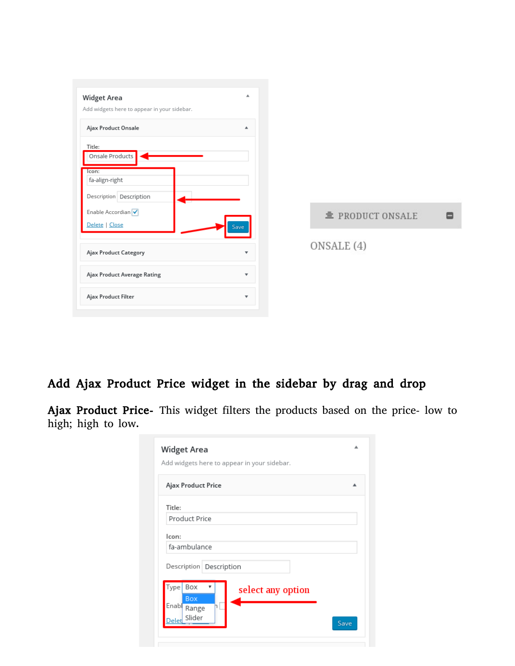

## Add Ajax Product Price widget in the sidebar by drag and drop

Ajax Product Price- This widget filters the products based on the price- low to high; high to low.

| Ajax Product Price |                         |  |
|--------------------|-------------------------|--|
| Title:             |                         |  |
| Product Price      |                         |  |
| Icon:              |                         |  |
| fa-ambulance       |                         |  |
|                    | Description Description |  |
| Box<br>Type        | select any option       |  |
| Box<br>Enabl       |                         |  |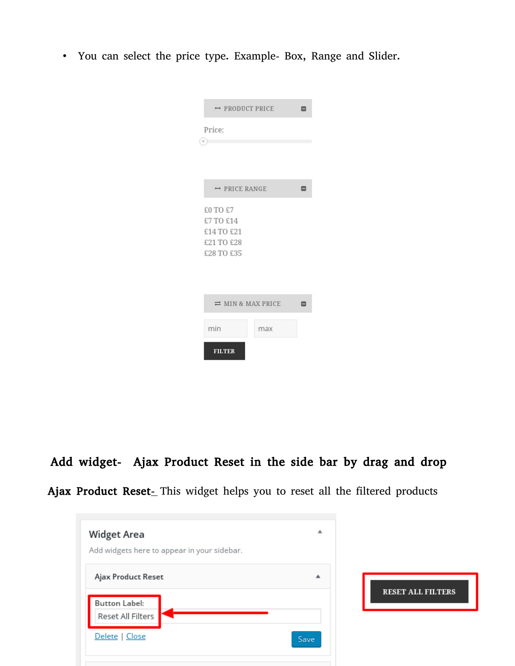• You can select the price type. Example- Box, Range and Slider.

|                                      | → PRODUCT PRICE |   |  |  |  |  |  |
|--------------------------------------|-----------------|---|--|--|--|--|--|
| Price:                               |                 |   |  |  |  |  |  |
| $\alpha$                             |                 |   |  |  |  |  |  |
|                                      |                 |   |  |  |  |  |  |
| → PRICE RANGE                        |                 | ⊟ |  |  |  |  |  |
| £0 TO £7                             |                 |   |  |  |  |  |  |
| £7 TO £14                            |                 |   |  |  |  |  |  |
| £14 TO £21<br>£21 TO £28             |                 |   |  |  |  |  |  |
| £28 TO £35                           |                 |   |  |  |  |  |  |
|                                      |                 |   |  |  |  |  |  |
|                                      |                 |   |  |  |  |  |  |
|                                      |                 |   |  |  |  |  |  |
| $\rightleftharpoons$ MIN & MAX PRICE |                 |   |  |  |  |  |  |
| min                                  |                 |   |  |  |  |  |  |
|                                      | max             |   |  |  |  |  |  |
| <b>FILTER</b>                        |                 |   |  |  |  |  |  |

Add widget- Ajax Product Reset in the side bar by drag and drop

|  | Ajax Product Reset- This widget helps you to reset all the filtered products |  |  |  |  |  |  |  |  |  |  |  |
|--|------------------------------------------------------------------------------|--|--|--|--|--|--|--|--|--|--|--|
|--|------------------------------------------------------------------------------|--|--|--|--|--|--|--|--|--|--|--|

| <b>Widget Area</b><br>Add widgets here to appear in your sidebar. | ▲    |                          |
|-------------------------------------------------------------------|------|--------------------------|
| Ajax Product Reset                                                | ዹ    |                          |
| <b>Button Label:</b><br>Reset All Filters                         |      | <b>RESET ALL FILTERS</b> |
| Delete   Close                                                    | Save |                          |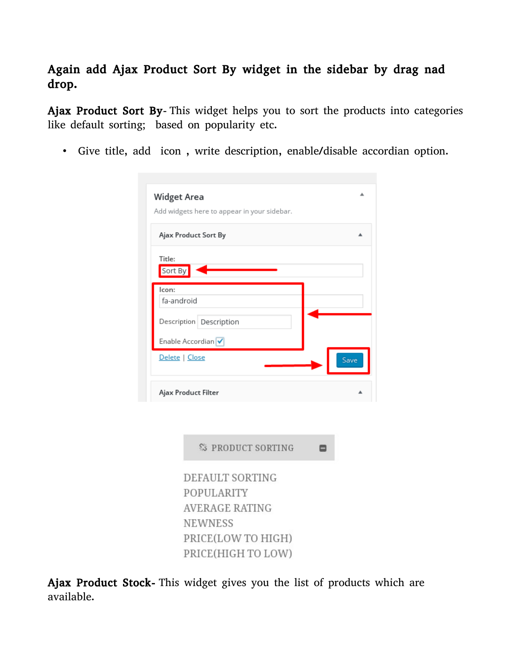# Again add Ajax Product Sort By widget in the sidebar by drag nad drop.

Ajax Product Sort By**-** This widget helps you to sort the products into categories like default sorting; based on popularity etc.

• Give title, add icon , write description, enable/disable accordian option.

| <b>Widget Area</b>  |                         |                                             |  |  |      |
|---------------------|-------------------------|---------------------------------------------|--|--|------|
|                     |                         | Add widgets here to appear in your sidebar. |  |  |      |
|                     |                         |                                             |  |  |      |
|                     | Ajax Product Sort By    |                                             |  |  |      |
| Title:              |                         |                                             |  |  |      |
| Sort By             |                         |                                             |  |  |      |
| lcon:               |                         |                                             |  |  |      |
| fa-android          |                         |                                             |  |  |      |
|                     | Description Description |                                             |  |  |      |
|                     |                         |                                             |  |  |      |
|                     |                         |                                             |  |  |      |
|                     | Enable Accordian √      |                                             |  |  |      |
| Delete   Close      |                         |                                             |  |  | Save |
|                     |                         |                                             |  |  |      |
| Ajax Product Filter |                         |                                             |  |  |      |
|                     |                         |                                             |  |  |      |
|                     |                         |                                             |  |  |      |
|                     |                         |                                             |  |  |      |
|                     |                         | <b>S PRODUCT SORTING</b>                    |  |  |      |
|                     |                         | DEFAULT SORTING                             |  |  |      |
|                     |                         | POPULARITY                                  |  |  |      |
|                     |                         | <b>AVERAGE RATING</b>                       |  |  |      |
|                     | <b>NEWNESS</b>          |                                             |  |  |      |
|                     |                         | PRICE(LOW TO HIGH)                          |  |  |      |

Ajax Product Stock- This widget gives you the list of products which are available.